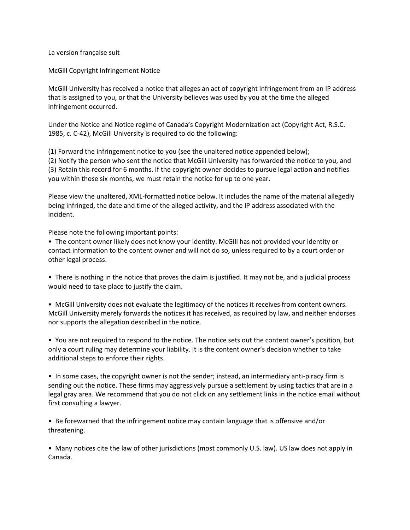La version française suit

McGill Copyright Infringement Notice

McGill University has received a notice that alleges an act of copyright infringement from an IP address that is assigned to you, or that the University believes was used by you at the time the alleged infringement occurred.

Under the Notice and Notice regime of Canada's Copyright Modernization act (Copyright Act, R.S.C. 1985, c. C-42), McGill University is required to do the following:

(1) Forward the infringement notice to you (see the unaltered notice appended below); (2) Notify the person who sent the notice that McGill University has forwarded the notice to you, and (3) Retain this record for 6 months. If the copyright owner decides to pursue legal action and notifies you within those six months, we must retain the notice for up to one year.

Please view the unaltered, XML-formatted notice below. It includes the name of the material allegedly being infringed, the date and time of the alleged activity, and the IP address associated with the incident.

Please note the following important points:

• The content owner likely does not know your identity. McGill has not provided your identity or contact information to the content owner and will not do so, unless required to by a court order or other legal process.

• There is nothing in the notice that proves the claim is justified. It may not be, and a judicial process would need to take place to justify the claim.

• McGill University does not evaluate the legitimacy of the notices it receives from content owners. McGill University merely forwards the notices it has received, as required by law, and neither endorses nor supports the allegation described in the notice.

• You are not required to respond to the notice. The notice sets out the content owner's position, but only a court ruling may determine your liability. It is the content owner's decision whether to take additional steps to enforce their rights.

• In some cases, the copyright owner is not the sender; instead, an intermediary anti-piracy firm is sending out the notice. These firms may aggressively pursue a settlement by using tactics that are in a legal gray area. We recommend that you do not click on any settlement links in the notice email without first consulting a lawyer.

• Be forewarned that the infringement notice may contain language that is offensive and/or threatening.

• Many notices cite the law of other jurisdictions (most commonly U.S. law). US law does not apply in Canada.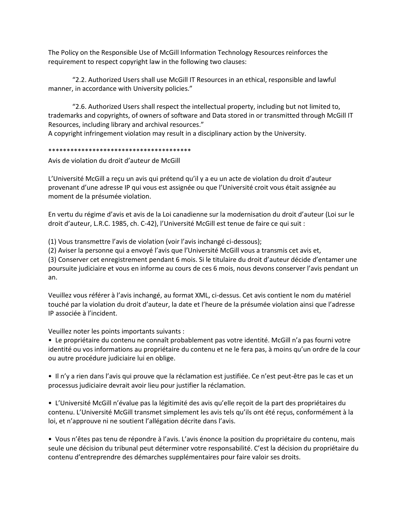The Policy on the Responsible Use of McGill Information Technology Resources reinforces the requirement to respect copyright law in the following two clauses:

"2.2. Authorized Users shall use McGill IT Resources in an ethical, responsible and lawful manner, in accordance with University policies."

"2.6. Authorized Users shall respect the intellectual property, including but not limited to, trademarks and copyrights, of owners of software and Data stored in or transmitted through McGill IT Resources, including library and archival resources."

A copyright infringement violation may result in a disciplinary action by the University.

## \*\*\*\*\*\*\*\*\*\*\*\*\*\*\*\*\*\*\*\*\*\*\*\*\*\*\*\*\*\*\*\*\*\*\*\*\*\*\*

Avis de violation du droit d'auteur de McGill

L'Université McGill a reçu un avis qui prétend qu'il y a eu un acte de violation du droit d'auteur provenant d'une adresse IP qui vous est assignée ou que l'Université croit vous était assignée au moment de la présumée violation.

En vertu du régime d'avis et avis de la Loi canadienne sur la modernisation du droit d'auteur (Loi sur le droit d'auteur, L.R.C. 1985, ch. C-42), l'Université McGill est tenue de faire ce qui suit :

(1) Vous transmettre l'avis de violation (voir l'avis inchangé ci-dessous);

(2) Aviser la personne qui a envoyé l'avis que l'Université McGill vous a transmis cet avis et,

(3) Conserver cet enregistrement pendant 6 mois. Si le titulaire du droit d'auteur décide d'entamer une poursuite judiciaire et vous en informe au cours de ces 6 mois, nous devons conserver l'avis pendant un an.

Veuillez vous référer à l'avis inchangé, au format XML, ci-dessus. Cet avis contient le nom du matériel touché par la violation du droit d'auteur, la date et l'heure de la présumée violation ainsi que l'adresse IP associée à l'incident.

Veuillez noter les points importants suivants :

• Le propriétaire du contenu ne connaît probablement pas votre identité. McGill n'a pas fourni votre identité ou vos informations au propriétaire du contenu et ne le fera pas, à moins qu'un ordre de la cour ou autre procédure judiciaire lui en oblige.

• Il n'y a rien dans l'avis qui prouve que la réclamation est justifiée. Ce n'est peut-être pas le cas et un processus judiciaire devrait avoir lieu pour justifier la réclamation.

• L'Université McGill n'évalue pas la légitimité des avis qu'elle reçoit de la part des propriétaires du contenu. L'Université McGill transmet simplement les avis tels qu'ils ont été reçus, conformément à la loi, et n'approuve ni ne soutient l'allégation décrite dans l'avis.

• Vous n'êtes pas tenu de répondre à l'avis. L'avis énonce la position du propriétaire du contenu, mais seule une décision du tribunal peut déterminer votre responsabilité. C'est la décision du propriétaire du contenu d'entreprendre des démarches supplémentaires pour faire valoir ses droits.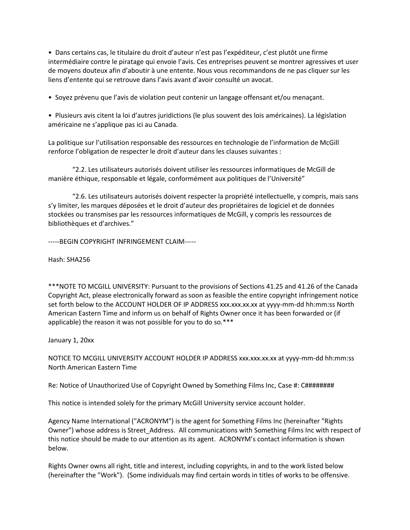• Dans certains cas, le titulaire du droit d'auteur n'est pas l'expéditeur, c'est plutôt une firme intermédiaire contre le piratage qui envoie l'avis. Ces entreprises peuvent se montrer agressives et user de moyens douteux afin d'aboutir à une entente. Nous vous recommandons de ne pas cliquer sur les liens d'entente qui se retrouve dans l'avis avant d'avoir consulté un avocat.

• Soyez prévenu que l'avis de violation peut contenir un langage offensant et/ou menaçant.

• Plusieurs avis citent la loi d'autres juridictions (le plus souvent des lois américaines). La législation américaine ne s'applique pas ici au Canada.

La politique sur l'utilisation responsable des ressources en technologie de l'information de McGill renforce l'obligation de respecter le droit d'auteur dans les clauses suivantes :

"2.2. Les utilisateurs autorisés doivent utiliser les ressources informatiques de McGill de manière éthique, responsable et légale, conformément aux politiques de l'Université"

"2.6. Les utilisateurs autorisés doivent respecter la propriété intellectuelle, y compris, mais sans s'y limiter, les marques déposées et le droit d'auteur des propriétaires de logiciel et de données stockées ou transmises par les ressources informatiques de McGill, y compris les ressources de bibliothèques et d'archives."

-----BEGIN COPYRIGHT INFRINGEMENT CLAIM-----

Hash: SHA256

\*\*\*NOTE TO MCGILL UNIVERSITY: Pursuant to the provisions of Sections 41.25 and 41.26 of the Canada Copyright Act, please electronically forward as soon as feasible the entire copyright infringement notice set forth below to the ACCOUNT HOLDER OF IP ADDRESS xxx.xxx.xx.xx at yyyy-mm-dd hh:mm:ss North American Eastern Time and inform us on behalf of Rights Owner once it has been forwarded or (if applicable) the reason it was not possible for you to do so.\*\*\*

January 1, 20xx

NOTICE TO MCGILL UNIVERSITY ACCOUNT HOLDER IP ADDRESS xxx.xxx.xx.xx at yyyy-mm-dd hh:mm:ss North American Eastern Time

Re: Notice of Unauthorized Use of Copyright Owned by Something Films Inc, Case #: C########

This notice is intended solely for the primary McGill University service account holder.

Agency Name International ("ACRONYM") is the agent for Something Films Inc (hereinafter "Rights Owner") whose address is Street\_Address. All communications with Something Films Inc with respect of this notice should be made to our attention as its agent. ACRONYM's contact information is shown below.

Rights Owner owns all right, title and interest, including copyrights, in and to the work listed below (hereinafter the "Work"). (Some individuals may find certain words in titles of works to be offensive.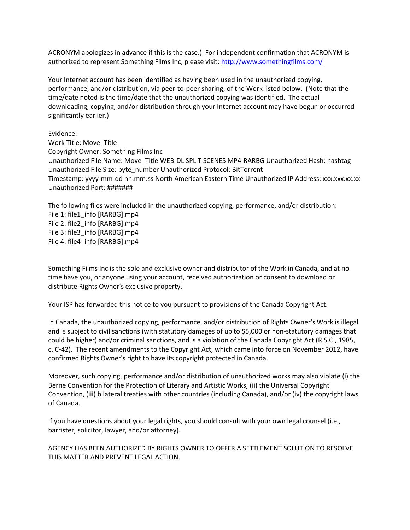ACRONYM apologizes in advance if this is the case.) For independent confirmation that ACRONYM is authorized to represent Something Films Inc, please visit:<http://www.somethingfilms.com/>

Your Internet account has been identified as having been used in the unauthorized copying, performance, and/or distribution, via peer-to-peer sharing, of the Work listed below. (Note that the time/date noted is the time/date that the unauthorized copying was identified. The actual downloading, copying, and/or distribution through your Internet account may have begun or occurred significantly earlier.)

Evidence: Work Title: Move\_Title Copyright Owner: Something Films Inc Unauthorized File Name: Move\_Title WEB-DL SPLIT SCENES MP4-RARBG Unauthorized Hash: hashtag Unauthorized File Size: byte\_number Unauthorized Protocol: BitTorrent Timestamp: yyyy-mm-dd hh:mm:ss North American Eastern Time Unauthorized IP Address: xxx.xxx.xx.xx Unauthorized Port: #######

The following files were included in the unauthorized copying, performance, and/or distribution: File 1: file1\_info [RARBG].mp4 File 2: file2\_info [RARBG].mp4 File 3: file3\_info [RARBG].mp4 File 4: file4\_info [RARBG].mp4

Something Films Inc is the sole and exclusive owner and distributor of the Work in Canada, and at no time have you, or anyone using your account, received authorization or consent to download or distribute Rights Owner's exclusive property.

Your ISP has forwarded this notice to you pursuant to provisions of the Canada Copyright Act.

In Canada, the unauthorized copying, performance, and/or distribution of Rights Owner's Work is illegal and is subject to civil sanctions (with statutory damages of up to \$5,000 or non-statutory damages that could be higher) and/or criminal sanctions, and is a violation of the Canada Copyright Act (R.S.C., 1985, c. C-42). The recent amendments to the Copyright Act, which came into force on November 2012, have confirmed Rights Owner's right to have its copyright protected in Canada.

Moreover, such copying, performance and/or distribution of unauthorized works may also violate (i) the Berne Convention for the Protection of Literary and Artistic Works, (ii) the Universal Copyright Convention, (iii) bilateral treaties with other countries (including Canada), and/or (iv) the copyright laws of Canada.

If you have questions about your legal rights, you should consult with your own legal counsel (i.e., barrister, solicitor, lawyer, and/or attorney).

AGENCY HAS BEEN AUTHORIZED BY RIGHTS OWNER TO OFFER A SETTLEMENT SOLUTION TO RESOLVE THIS MATTER AND PREVENT LEGAL ACTION.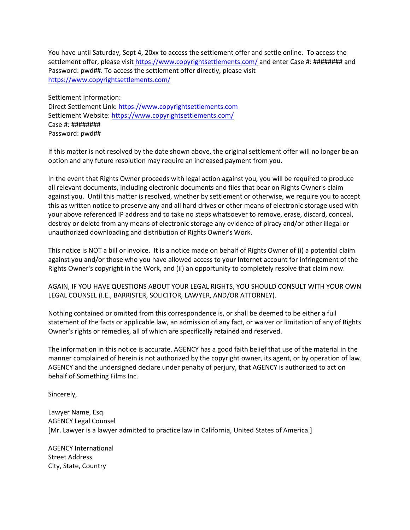You have until Saturday, Sept 4, 20xx to access the settlement offer and settle online. To access the settlement offer, please visit<https://www.copyrightsettlements.com/> and enter Case #: ######## and Password: pwd##. To access the settlement offer directly, please visit <https://www.copyrightsettlements.com/>

Settlement Information: Direct Settlement Link: [https://www.copyrightsettlements.com](https://www.copyrightsettlements.com/) Settlement Website[: https://www.copyrightsettlements.com/](https://www.copyrightsettlements.com/) Case #: ######## Password: pwd##

If this matter is not resolved by the date shown above, the original settlement offer will no longer be an option and any future resolution may require an increased payment from you.

In the event that Rights Owner proceeds with legal action against you, you will be required to produce all relevant documents, including electronic documents and files that bear on Rights Owner's claim against you. Until this matter is resolved, whether by settlement or otherwise, we require you to accept this as written notice to preserve any and all hard drives or other means of electronic storage used with your above referenced IP address and to take no steps whatsoever to remove, erase, discard, conceal, destroy or delete from any means of electronic storage any evidence of piracy and/or other illegal or unauthorized downloading and distribution of Rights Owner's Work.

This notice is NOT a bill or invoice. It is a notice made on behalf of Rights Owner of (i) a potential claim against you and/or those who you have allowed access to your Internet account for infringement of the Rights Owner's copyright in the Work, and (ii) an opportunity to completely resolve that claim now.

AGAIN, IF YOU HAVE QUESTIONS ABOUT YOUR LEGAL RIGHTS, YOU SHOULD CONSULT WITH YOUR OWN LEGAL COUNSEL (I.E., BARRISTER, SOLICITOR, LAWYER, AND/OR ATTORNEY).

Nothing contained or omitted from this correspondence is, or shall be deemed to be either a full statement of the facts or applicable law, an admission of any fact, or waiver or limitation of any of Rights Owner's rights or remedies, all of which are specifically retained and reserved.

The information in this notice is accurate. AGENCY has a good faith belief that use of the material in the manner complained of herein is not authorized by the copyright owner, its agent, or by operation of law. AGENCY and the undersigned declare under penalty of perjury, that AGENCY is authorized to act on behalf of Something Films Inc.

Sincerely,

Lawyer Name, Esq. AGENCY Legal Counsel [Mr. Lawyer is a lawyer admitted to practice law in California, United States of America.]

AGENCY International Street Address City, State, Country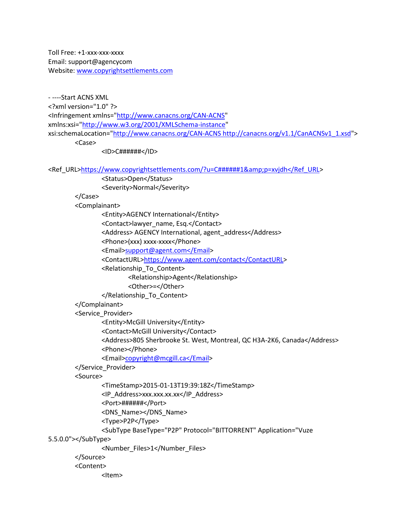Toll Free: +1-xxx-xxx-xxxx Email: support@agencycom Website[: www.copyrightsettlements.com](http://www.copyrightsettlements.com/)

- ----Start ACNS XML <?xml version="1.0" ?> <Infringement xmlns=["http://www.canacns.org/CAN-ACNS"](http://www.canacns.org/CAN-ACNS) xmlns:xsi=["http://www.w3.org/2001/XMLSchema-instance"](http://www.w3.org/2001/XMLSchema-instance) xsi:schemaLocation=["http://www.canacns.org/CAN-ACNS http://canacns.org/v1.1/CanACNSv1\\_1.xsd"](http://www.canacns.org/CAN-ACNS%20http:/canacns.org/v1.1/CanACNSv1_1.xsd)> <Case>

<ID>C######</ID>

<Ref\_URL[>https://www.copyrightsettlements.com/?u=C######1&amp;p=xvjdh</Ref\\_URL>](https://www.copyrightsettlements.com/?u=C######1&p=xvjdh</Ref_URL)

<Status>Open</Status>

<Severity>Normal</Severity>

</Case>

<Complainant>

<Entity>AGENCY International</Entity>

<Contact>lawyer\_name, Esq.</Contact>

<Address> AGENCY International, agent\_address</Address>

<Phone>(xxx) xxxx-xxxx</Phone>

<Email[>support@agent.com</Email>](mailto:support@agent.com%3c/Email)

<ContactURL[>https://www.agent.com/contact</ContactURL>](https://www.agent.com/contact%3c/ContactURL)

<Relationship\_To\_Content>

<Relationship>Agent</Relationship>

<Other>=</Other>

</Relationship\_To\_Content>

## </Complainant>

<Service\_Provider>

<Entity>McGill University</Entity>

<Contact>McGill University</Contact>

<Address>805 Sherbrooke St. West, Montreal, QC H3A-2K6, Canada</Address>

<Phone></Phone>

<Email[>copyright@mcgill.ca</Email>](mailto:copyright@mcgill.ca%3c/Email)

</Service\_Provider>

<Source>

<TimeStamp>2015-01-13T19:39:18Z</TimeStamp>

<IP\_Address>xxx.xxx.xx.xx</IP\_Address>

<Port>######</Port>

<DNS\_Name></DNS\_Name>

<Type>P2P</Type>

<SubType BaseType="P2P" Protocol="BITTORRENT" Application="Vuze

5.5.0.0"></SubType>

<Number\_Files>1</Number\_Files>

</Source>

<Content>

<Item>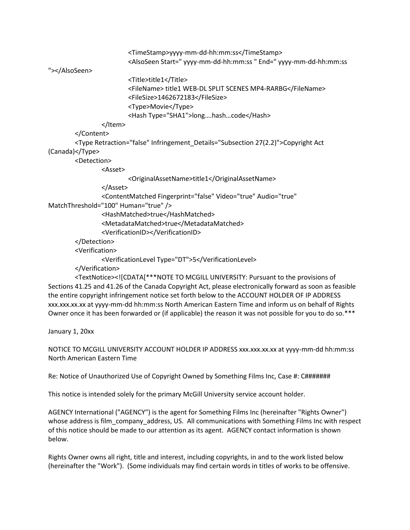<TimeStamp>yyyy-mm-dd-hh:mm:ss</TimeStamp> <AlsoSeen Start=" yyyy-mm-dd-hh:mm:ss " End=" yyyy-mm-dd-hh:mm:ss

"></AlsoSeen>

 <Title>title1</Title> <FileName> title1 WEB-DL SPLIT SCENES MP4-RARBG</FileName> <FileSize>1462672183</FileSize> <Type>Movie</Type> <Hash Type="SHA1">long….hash…code</Hash>

</Item>

```
 </Content>
```
 <Type Retraction="false" Infringement\_Details="Subsection 27(2.2)">Copyright Act (Canada)</Type>

<Detection>

<Asset>

<OriginalAssetName>title1</OriginalAssetName>

</Asset>

<ContentMatched Fingerprint="false" Video="true" Audio="true"

MatchThreshold="100" Human="true" />

<HashMatched>true</HashMatched>

<MetadataMatched>true</MetadataMatched>

<VerificationID></VerificationID>

```
 </Detection>
```
<Verification>

```
 <VerificationLevel Type="DT">5</VerificationLevel>
```
</Verification>

 <TextNotice><![CDATA[\*\*\*NOTE TO MCGILL UNIVERSITY: Pursuant to the provisions of Sections 41.25 and 41.26 of the Canada Copyright Act, please electronically forward as soon as feasible the entire copyright infringement notice set forth below to the ACCOUNT HOLDER OF IP ADDRESS xxx.xxx.xx.xx at yyyy-mm-dd hh:mm:ss North American Eastern Time and inform us on behalf of Rights Owner once it has been forwarded or (if applicable) the reason it was not possible for you to do so.\*\*\*

January 1, 20xx

NOTICE TO MCGILL UNIVERSITY ACCOUNT HOLDER IP ADDRESS xxx.xxx.xx.xx at yyyy-mm-dd hh:mm:ss North American Eastern Time

Re: Notice of Unauthorized Use of Copyright Owned by Something Films Inc, Case #: C#######

This notice is intended solely for the primary McGill University service account holder.

AGENCY International ("AGENCY") is the agent for Something Films Inc (hereinafter "Rights Owner") whose address is film\_company\_address, US. All communications with Something Films Inc with respect of this notice should be made to our attention as its agent. AGENCY contact information is shown below.

Rights Owner owns all right, title and interest, including copyrights, in and to the work listed below (hereinafter the "Work"). (Some individuals may find certain words in titles of works to be offensive.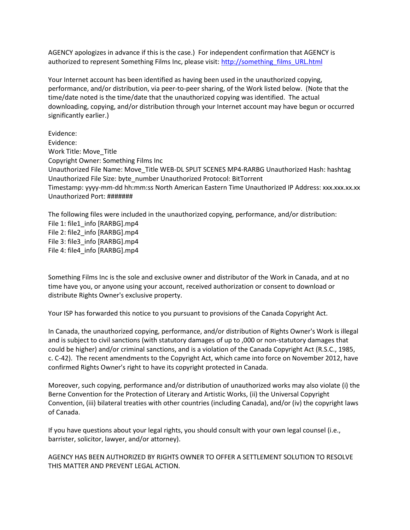AGENCY apologizes in advance if this is the case.) For independent confirmation that AGENCY is authorized to represent Something Films Inc, please visit: [http://something\\_films\\_URL.html](http://something_films_url.html/)

Your Internet account has been identified as having been used in the unauthorized copying, performance, and/or distribution, via peer-to-peer sharing, of the Work listed below. (Note that the time/date noted is the time/date that the unauthorized copying was identified. The actual downloading, copying, and/or distribution through your Internet account may have begun or occurred significantly earlier.)

Evidence: Evidence: Work Title: Move\_Title Copyright Owner: Something Films Inc Unauthorized File Name: Move\_Title WEB-DL SPLIT SCENES MP4-RARBG Unauthorized Hash: hashtag Unauthorized File Size: byte\_number Unauthorized Protocol: BitTorrent Timestamp: yyyy-mm-dd hh:mm:ss North American Eastern Time Unauthorized IP Address: xxx.xxx.xx.xx Unauthorized Port: #######

The following files were included in the unauthorized copying, performance, and/or distribution: File 1: file1\_info [RARBG].mp4 File 2: file2\_info [RARBG].mp4 File 3: file3\_info [RARBG].mp4 File 4: file4\_info [RARBG].mp4

Something Films Inc is the sole and exclusive owner and distributor of the Work in Canada, and at no time have you, or anyone using your account, received authorization or consent to download or distribute Rights Owner's exclusive property.

Your ISP has forwarded this notice to you pursuant to provisions of the Canada Copyright Act.

In Canada, the unauthorized copying, performance, and/or distribution of Rights Owner's Work is illegal and is subject to civil sanctions (with statutory damages of up to ,000 or non-statutory damages that could be higher) and/or criminal sanctions, and is a violation of the Canada Copyright Act (R.S.C., 1985, c. C-42). The recent amendments to the Copyright Act, which came into force on November 2012, have confirmed Rights Owner's right to have its copyright protected in Canada.

Moreover, such copying, performance and/or distribution of unauthorized works may also violate (i) the Berne Convention for the Protection of Literary and Artistic Works, (ii) the Universal Copyright Convention, (iii) bilateral treaties with other countries (including Canada), and/or (iv) the copyright laws of Canada.

If you have questions about your legal rights, you should consult with your own legal counsel (i.e., barrister, solicitor, lawyer, and/or attorney).

AGENCY HAS BEEN AUTHORIZED BY RIGHTS OWNER TO OFFER A SETTLEMENT SOLUTION TO RESOLVE THIS MATTER AND PREVENT LEGAL ACTION.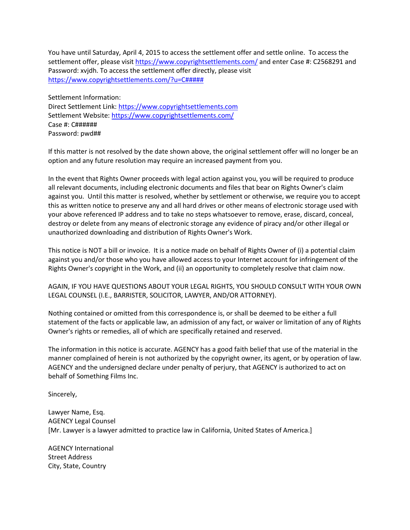You have until Saturday, April 4, 2015 to access the settlement offer and settle online. To access the settlement offer, please visit<https://www.copyrightsettlements.com/> and enter Case #: C2568291 and Password: xvjdh. To access the settlement offer directly, please visit <https://www.copyrightsettlements.com/?u=C#####>

Settlement Information: Direct Settlement Link: [https://www.copyrightsettlements.com](https://www.copyrightsettlements.com/) Settlement Website[: https://www.copyrightsettlements.com/](https://www.copyrightsettlements.com/) Case #: C###### Password: pwd##

If this matter is not resolved by the date shown above, the original settlement offer will no longer be an option and any future resolution may require an increased payment from you.

In the event that Rights Owner proceeds with legal action against you, you will be required to produce all relevant documents, including electronic documents and files that bear on Rights Owner's claim against you. Until this matter is resolved, whether by settlement or otherwise, we require you to accept this as written notice to preserve any and all hard drives or other means of electronic storage used with your above referenced IP address and to take no steps whatsoever to remove, erase, discard, conceal, destroy or delete from any means of electronic storage any evidence of piracy and/or other illegal or unauthorized downloading and distribution of Rights Owner's Work.

This notice is NOT a bill or invoice. It is a notice made on behalf of Rights Owner of (i) a potential claim against you and/or those who you have allowed access to your Internet account for infringement of the Rights Owner's copyright in the Work, and (ii) an opportunity to completely resolve that claim now.

AGAIN, IF YOU HAVE QUESTIONS ABOUT YOUR LEGAL RIGHTS, YOU SHOULD CONSULT WITH YOUR OWN LEGAL COUNSEL (I.E., BARRISTER, SOLICITOR, LAWYER, AND/OR ATTORNEY).

Nothing contained or omitted from this correspondence is, or shall be deemed to be either a full statement of the facts or applicable law, an admission of any fact, or waiver or limitation of any of Rights Owner's rights or remedies, all of which are specifically retained and reserved.

The information in this notice is accurate. AGENCY has a good faith belief that use of the material in the manner complained of herein is not authorized by the copyright owner, its agent, or by operation of law. AGENCY and the undersigned declare under penalty of perjury, that AGENCY is authorized to act on behalf of Something Films Inc.

Sincerely,

Lawyer Name, Esq. AGENCY Legal Counsel [Mr. Lawyer is a lawyer admitted to practice law in California, United States of America.]

AGENCY International Street Address City, State, Country